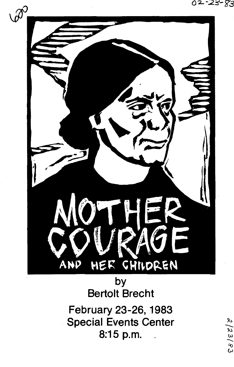02-23-83

 $2/23/83$ 



by Bertolt Brecht

February 23-26, 1983 Special Events Center 8:15 p.m. .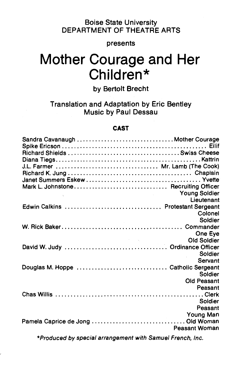# Boise State University DEPARTMENT OF THEATRE ARTS

### presents

# **Mother Courage and Her Children\***

# by Bertolt Brecht

Translation and Adaptation by Eric Bentley Music by Paul Dessau

#### **CAST**

| Sandra Cavanaugh Mother Courage     |                                    |
|-------------------------------------|------------------------------------|
|                                     |                                    |
| J.L. Farmer  Mr. Lamb (The Cook)    |                                    |
|                                     |                                    |
|                                     |                                    |
|                                     |                                    |
|                                     | <b>Young Soldier</b><br>Lieutenant |
| Edwin Calkins  Protestant Sergeant  |                                    |
|                                     | Colonel                            |
|                                     | Soldier                            |
|                                     |                                    |
|                                     | One Eye                            |
|                                     |                                    |
|                                     | Soldier                            |
|                                     | Servant                            |
| Douglas M. Hoppe  Catholic Sergeant |                                    |
|                                     | Soldier                            |
|                                     | Old Peasant                        |
|                                     | Peasant                            |
|                                     | Soldier                            |
|                                     | Peasant                            |
|                                     | Young Man                          |
|                                     |                                    |
|                                     | <b>Peasant Woman</b>               |
|                                     |                                    |

\*Produced by special arrangement with Samuel French, Inc.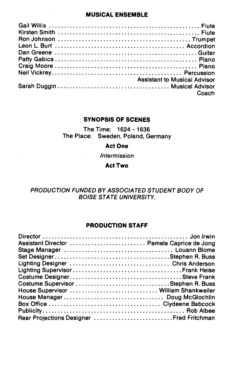#### **MUSICAL ENSEMBLE**

 $\bar{z}$ 

 $\ddot{\phantom{a}}$ 

| <b>Assistant to Musical Advisor</b> |
|-------------------------------------|
|                                     |
| Coach                               |

## **SYNOPSIS OF SCENES**

The Time: 1624- 1636 The Place: Sweden, Poland, Germany

#### **Act One**

**Intermission** 

**Act Two** 

# PRODUCTION FUNDED BY ASSOCIATED STUDENT BODY OF BOISE STATE UNIVERSITY.

# **PRODUCTION STAFF**

| Assistant Director  Pamela Caprice de Jong |  |
|--------------------------------------------|--|
|                                            |  |
|                                            |  |
|                                            |  |
|                                            |  |
|                                            |  |
| Costume Supervisor Stephen R. Buss         |  |
| House Supervisor  William Shankweiler      |  |
|                                            |  |
|                                            |  |
|                                            |  |
| Rear Projections Designer  Fred Fritchman  |  |